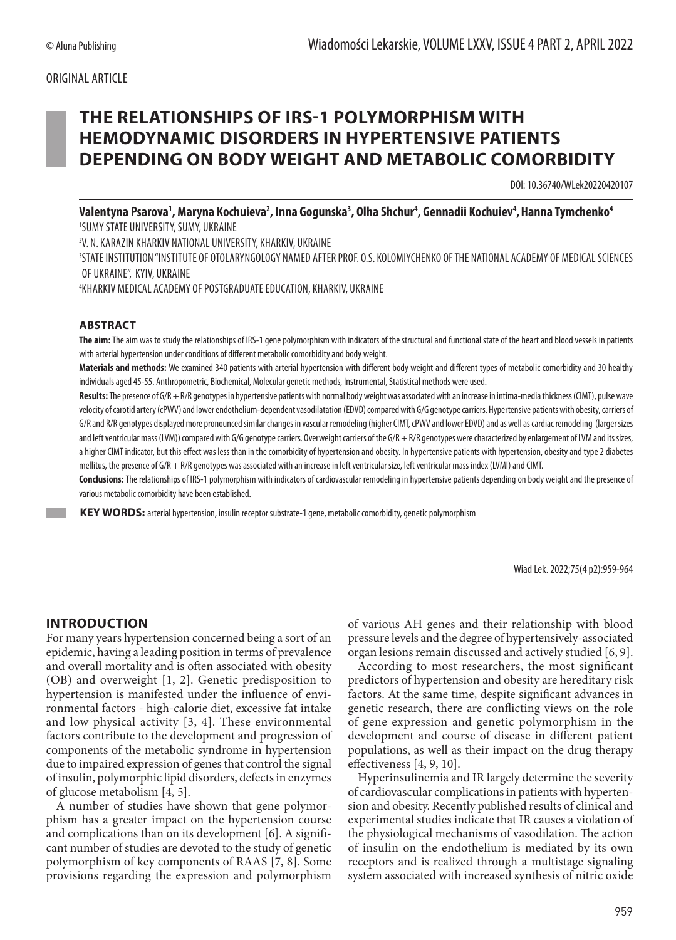#### ORIGINAL ARTICLE

# **THE RELATIONSHIPS OF IRS-1 POLYMORPHISM WITH HEMODYNAMIC DISORDERS IN HYPERTENSIVE PATIENTS DEPENDING ON BODY WEIGHT AND METABOLIC COMORBIDITY**

DOI: 10.36740/WLek20220420107

Valentyna Psarova', Maryna Kochuieva<sup>2</sup>, Inna Gogunska<sup>3</sup>, Olha Shchur<sup>4</sup>, Gennadii Kochuiev<sup>4</sup>, Hanna Tymchenko<sup>4</sup> 1 SUMY STATE UNIVERSITY, SUMY, UKRAINE

2 V. N. KARAZIN KHARKIV NATIONAL UNIVERSITY, KHARKIV, UKRAINE

3 STATE INSTITUTION "INSTITUTE OF OTOLARYNGOLOGY NAMED AFTER PROF. O.S. KOLOMIYCHENKO OF THE NATIONAL ACADEMY OF MEDICAL SCIENCES OF UKRAINE", KYIV, UKRAINE

4 KHARKIV MEDICAL ACADEMY OF POSTGRADUATE EDUCATION, KHARKIV, UKRAINE

#### **ABSTRACT**

**The aim:** The aim was to study the relationships of IRS-1 gene polymorphism with indicators of the structural and functional state of the heart and blood vessels in patients with arterial hypertension under conditions of different metabolic comorbidity and body weight.

**Materials and methods:** We examined 340 patients with arterial hypertension with different body weight and different types of metabolic comorbidity and 30 healthy individuals aged 45-55. Anthropometric, Biochemical, Molecular genetic methods, Instrumental, Statistical methods were used.

Results: The presence of G/R + R/R genotypes in hypertensive patients with normal body weight was associated with an increase in intima-media thickness (CIMT), pulse wave velocity of carotid artery (cPWV) and lower endothelium-dependent vasodilatation (EDVD) compared with G/G genotype carriers. Hypertensive patients with obesity, carriers of G/R and R/R genotypes displayed more pronounced similar changes in vascular remodeling (higher CIMT, cPWV and lower EDVD) and as well as cardiac remodeling (larger sizes and left ventricular mass (LVM)) compared with G/G genotype carriers. Overweight carriers of the G/R + R/R genotypes were characterized by enlargement of LVM and its sizes, a higher CIMT indicator, but this effect was less than in the comorbidity of hypertension and obesity. In hypertensive patients with hypertension, obesity and type 2 diabetes mellitus, the presence of G/R + R/R genotypes was associated with an increase in left ventricular size, left ventricular mass index (LVMI) and CIMT.

**Conclusions:** The relationships of IRS-1 polymorphism with indicators of cardiovascular remodeling in hypertensive patients depending on body weight and the presence of various metabolic comorbidity have been established.

 **KEY WORDS:** arterial hypertension, insulin receptor substrate-1 gene, metabolic comorbidity, genetic polymorphism

Wiad Lek. 2022;75(4 p2):959-964

#### **INTRODUCTION**

For many years hypertension concerned being a sort of an epidemic, having a leading position in terms of prevalence and overall mortality and is often associated with obesity (OB) and overweight [1, 2]. Genetic predisposition to hypertension is manifested under the influence of environmental factors - high-calorie diet, excessive fat intake and low physical activity [3, 4]. These environmental factors contribute to the development and progression of components of the metabolic syndrome in hypertension due to impaired expression of genes that control the signal of insulin, polymorphic lipid disorders, defects in enzymes of glucose metabolism [4, 5].

A number of studies have shown that gene polymorphism has a greater impact on the hypertension course and complications than on its development [6]. A significant number of studies are devoted to the study of genetic polymorphism of key components of RAAS [7, 8]. Some provisions regarding the expression and polymorphism of various AH genes and their relationship with blood pressure levels and the degree of hypertensively-associated organ lesions remain discussed and actively studied [6, 9].

According to most researchers, the most significant predictors of hypertension and obesity are hereditary risk factors. At the same time, despite significant advances in genetic research, there are conflicting views on the role of gene expression and genetic polymorphism in the development and course of disease in different patient populations, as well as their impact on the drug therapy effectiveness [4, 9, 10].

Hyperinsulinemia and IR largely determine the severity of cardiovascular complications in patients with hypertension and obesity. Recently published results of clinical and experimental studies indicate that IR causes a violation of the physiological mechanisms of vasodilation. The action of insulin on the endothelium is mediated by its own receptors and is realized through a multistage signaling system associated with increased synthesis of nitric oxide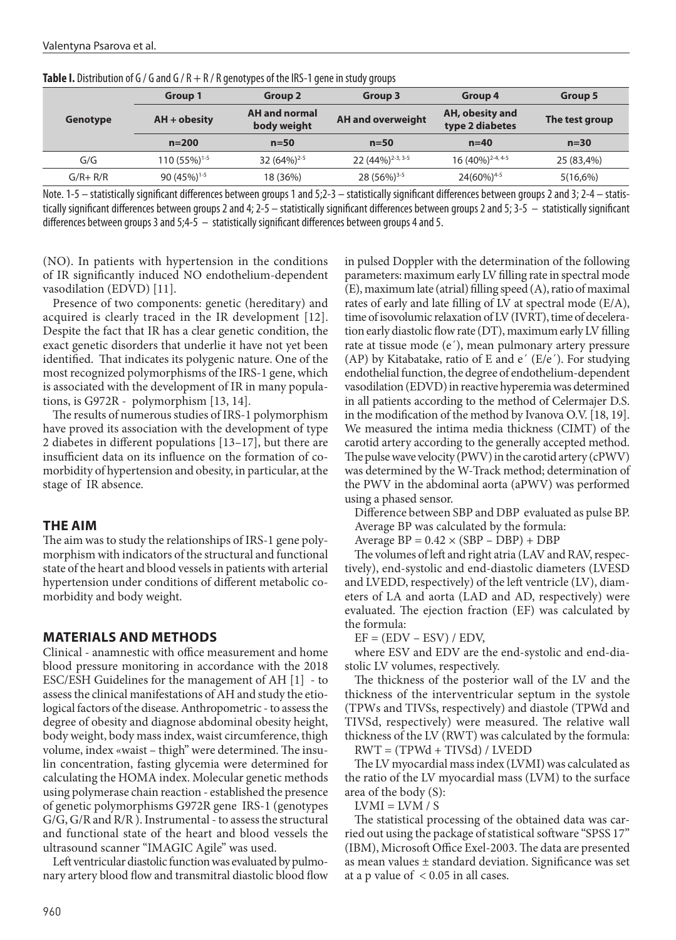| <b>TWELF IS DISTINGUIUS OF A 2010 AT A 44 YO MALLA CHECKER CONTROLLED SUGGERY STORES</b> |                                                      |                         |                              |                                    |                |  |  |  |  |
|------------------------------------------------------------------------------------------|------------------------------------------------------|-------------------------|------------------------------|------------------------------------|----------------|--|--|--|--|
|                                                                                          | <b>Group 1</b>                                       | Group 2                 | Group 3                      | Group 4                            | Group 5        |  |  |  |  |
| <b>Genotype</b>                                                                          | <b>AH</b> and normal<br>$AH + obsity$<br>body weight |                         | <b>AH and overweight</b>     | AH, obesity and<br>type 2 diabetes | The test group |  |  |  |  |
|                                                                                          | $n = 200$                                            | $n=50$                  | $n=50$                       | $n=40$                             | $n=30$         |  |  |  |  |
| G/G                                                                                      | 110 (55%) <sup>1-5</sup>                             | 32 (64%) <sup>2-5</sup> | 22 (44%) <sup>2-3, 3-5</sup> | 16 (40%) <sup>2-4, 4-5</sup>       | 25 (83,4%)     |  |  |  |  |
| $G/R + R/R$                                                                              | 90 (45%) <sup>1-5</sup>                              | 18 (36%)                | 28 (56%) <sup>3-5</sup>      | 24(60%) <sup>4-5</sup>             | 5(16,6%)       |  |  |  |  |

Note. 1-5 – statistically significant differences between groups 1 and 5;2-3 – statistically significant differences between groups 2 and 3; 2-4 – statistically significant differences between groups 2 and 4; 2-5 – statistically significant differences between groups 2 and 5; 3-5 – statistically significant differences between groups 3 and 5;4-5 – statistically significant differences between groups 4 and 5.

(NO). In patients with hypertension in the conditions of IR significantly induced NO endothelium-dependent vasodilation (EDVD) [11].

Presence of two components: genetic (hereditary) and acquired is clearly traced in the IR development [12]. Despite the fact that IR has a clear genetic condition, the exact genetic disorders that underlie it have not yet been identified. That indicates its polygenic nature. One of the most recognized polymorphisms of the IRS-1 gene, which is associated with the development of IR in many populations, is G972R - polymorphism [13, 14].

The results of numerous studies of IRS-1 polymorphism have proved its association with the development of type 2 diabetes in different populations [13–17], but there are insufficient data on its influence on the formation of comorbidity of hypertension and obesity, in particular, at the stage of IR absence.

## **THE AIM**

The aim was to study the relationships of IRS-1 gene polymorphism with indicators of the structural and functional state of the heart and blood vessels in patients with arterial hypertension under conditions of different metabolic comorbidity and body weight.

## **MATERIALS AND METHODS**

Clinical - anamnestic with office measurement and home blood pressure monitoring in accordance with the 2018 ESC/ESH Guidelines for the management of AH [1] - to assess the clinical manifestations of AH and study the etiological factors of the disease. Anthropometric - to assess the degree of obesity and diagnose abdominal obesity height, body weight, body mass index, waist circumference, thigh volume, index «waist – thigh" were determined. The insulin concentration, fasting glycemia were determined for calculating the HOMA index. Molecular genetic methods using polymerase chain reaction - established the presence of genetic polymorphisms G972R gene IRS-1 (genotypes G/G, G/R and R/R ). Instrumental - to assess the structural and functional state of the heart and blood vessels the ultrasound scanner "IMAGIC Agile" was used.

Left ventricular diastolic function was evaluated by pulmonary artery blood flow and transmitral diastolic blood flow in pulsed Doppler with the determination of the following parameters: maximum early LV filling rate in spectral mode (E), maximum late (atrial) filling speed (A), ratio of maximal rates of early and late filling of LV at spectral mode (E/A), time of isovolumic relaxation of LV (IVRT), time of deceleration early diastolic flow rate (DT), maximum early LV filling rate at tissue mode (e´), mean pulmonary artery pressure (AP) by Kitabatake, ratio of E and  $e'$  (E/ $e'$ ). For studying endothelial function, the degree of endothelium-dependent vasodilation (EDVD) in reactive hyperemia was determined in all patients according to the method of Celermajer D.S. in the modification of the method by Ivanova O.V. [18, 19]. We measured the intima media thickness (СIMT) of the carotid artery according to the generally accepted method. The pulse wave velocity (PWV) in the carotid artery (сPWV) was determined by the W-Track method; determination of the PWV in the abdominal aorta (aPWV) was performed using a phased sensor.

Difference between SBP and DBP evaluated as pulse BP. Average BP was calculated by the formula:

Average  $BP = 0.42 \times (SBP - DBP) + DBP$ 

The volumes of left and right atria (LAV and RAV, respectively), end-systolic and end-diastolic diameters (LVESD and LVEDD, respectively) of the left ventricle (LV), diameters of LA and aorta (LAD and AD, respectively) were evaluated. The ejection fraction (EF) was calculated by the formula:

 $EF = (EDV - ESV) / EDV$ ,

where ESV and EDV are the end-systolic and end-diastolic LV volumes, respectively.

The thickness of the posterior wall of the LV and the thickness of the interventricular septum in the systole (TPWs and TIVSs, respectively) and diastole (TPWd and TIVSd, respectively) were measured. The relative wall thickness of the LV (RWT) was calculated by the formula:  $RWT = (TPWd + TIVSd) / LVEDD$ 

The LV myocardial mass index (LVMI) was calculated as the ratio of the LV myocardial mass (LVM) to the surface area of the body (S):

 $LVMI = LVM / S$ 

The statistical processing of the obtained data was carried out using the package of statistical software "SPSS 17" (IBM), Microsoft Office Exel-2003. The data are presented as mean values ± standard deviation. Significance was set at a p value of  $< 0.05$  in all cases.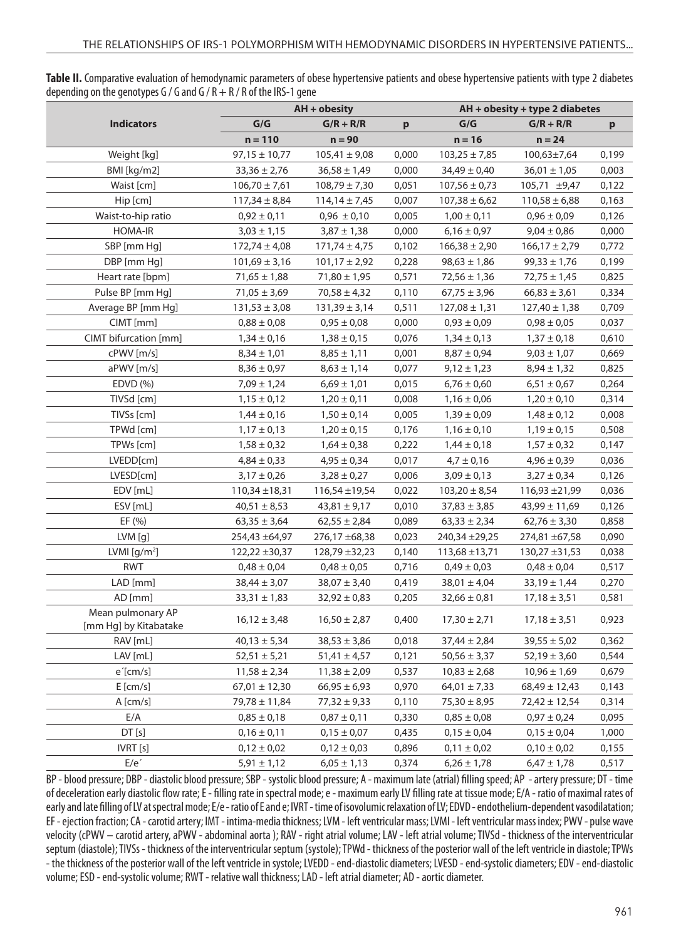Table II. Comparative evaluation of hemodynamic parameters of obese hypertensive patients and obese hypertensive patients with type 2 diabetes depending on the genotypes G / G and G / R  $+$  R / R of the IRS-1 gene

|                                            | $AH + obsity$      |                    |       | AH + obesity + type 2 diabetes |                    |              |  |
|--------------------------------------------|--------------------|--------------------|-------|--------------------------------|--------------------|--------------|--|
| <b>Indicators</b>                          | G/G                | $G/R + R/R$        | p     | G/G                            | $G/R + R/R$        | $\mathbf{p}$ |  |
|                                            | $n = 110$          | $n = 90$           |       | $n = 16$                       | $n = 24$           |              |  |
| Weight [kg]                                | $97,15 \pm 10,77$  | $105,41 \pm 9,08$  | 0,000 | $103,25 \pm 7,85$              | 100,63±7,64        | 0,199        |  |
| BMI [kg/m2]                                | $33,36 \pm 2,76$   | $36,58 \pm 1,49$   | 0,000 | $34,49 \pm 0,40$               | $36,01 \pm 1,05$   | 0,003        |  |
| Waist [cm]                                 | $106,70 \pm 7,61$  | $108,79 \pm 7,30$  | 0,051 | $107,56 \pm 0,73$              | 105,71 ±9,47       | 0,122        |  |
| Hip [cm]                                   | $117,34 \pm 8,84$  | $114,14 \pm 7,45$  | 0,007 | $107,38 \pm 6,62$              | $110,58 \pm 6,88$  | 0,163        |  |
| Waist-to-hip ratio                         | $0,92 \pm 0,11$    | $0,96 \pm 0,10$    | 0,005 | $1,00 \pm 0,11$                | $0,96 \pm 0,09$    | 0,126        |  |
| <b>HOMA-IR</b>                             | $3,03 \pm 1,15$    | $3,87 \pm 1,38$    | 0,000 | $6,16 \pm 0,97$                | $9,04 \pm 0,86$    | 0,000        |  |
| SBP [mm Hg]                                | $172,74 \pm 4,08$  | $171,74 \pm 4,75$  | 0,102 | $166,38 \pm 2,90$              | $166,17 \pm 2,79$  | 0,772        |  |
| DBP [mm Hg]                                | $101,69 \pm 3,16$  | $101,17 \pm 2,92$  | 0,228 | $98,63 \pm 1,86$               | $99,33 \pm 1,76$   | 0,199        |  |
| Heart rate [bpm]                           | $71,65 \pm 1,88$   | $71,80 \pm 1,95$   | 0,571 | $72,56 \pm 1,36$               | $72,75 \pm 1,45$   | 0,825        |  |
| Pulse BP [mm Hg]                           | $71,05 \pm 3,69$   | $70,58 \pm 4,32$   | 0,110 | $67,75 \pm 3,96$               | $66,83 \pm 3,61$   | 0,334        |  |
| Average BP [mm Hg]                         | $131,53 \pm 3,08$  | $131,39 \pm 3,14$  | 0,511 | $127,08 \pm 1,31$              | $127,40 \pm 1,38$  | 0,709        |  |
| CIMT [mm]                                  | $0,88 \pm 0,08$    | $0,95 \pm 0,08$    | 0,000 | $0,93 \pm 0,09$                | $0,98 \pm 0,05$    | 0,037        |  |
| CIMT bifurcation [mm]                      | $1,34 \pm 0,16$    | $1,38 \pm 0,15$    | 0,076 | $1,34 \pm 0,13$                | $1,37 \pm 0,18$    | 0,610        |  |
| cPWV [m/s]                                 | $8,34 \pm 1,01$    | $8,85 \pm 1,11$    | 0,001 | $8,87 \pm 0,94$                | $9,03 \pm 1,07$    | 0,669        |  |
| aPWV [m/s]                                 | $8,36 \pm 0,97$    | $8,63 \pm 1,14$    | 0,077 | $9,12 \pm 1,23$                | $8,94 \pm 1,32$    | 0,825        |  |
| EDVD (%)                                   | $7,09 \pm 1,24$    | $6,69 \pm 1,01$    | 0,015 | $6,76 \pm 0,60$                | $6,51 \pm 0,67$    | 0,264        |  |
| TIVSd [cm]                                 | $1,15 \pm 0,12$    | $1,20 \pm 0,11$    | 0,008 | $1,16 \pm 0,06$                | $1,20 \pm 0,10$    | 0,314        |  |
| TIVSs [cm]                                 | $1,44 \pm 0,16$    | $1,50 \pm 0,14$    | 0,005 | $1,39 \pm 0,09$                | $1,48 \pm 0,12$    | 0,008        |  |
| TPWd [cm]                                  | $1,17 \pm 0,13$    | $1,20 \pm 0,15$    | 0,176 | $1,16 \pm 0,10$                | $1,19 \pm 0,15$    | 0,508        |  |
| TPWs [cm]                                  | $1,58 \pm 0,32$    | $1,64 \pm 0,38$    | 0,222 | $1,44 \pm 0,18$                | $1,57 \pm 0,32$    | 0,147        |  |
| LVEDD[cm]                                  | $4,84 \pm 0,33$    | $4,95 \pm 0,34$    | 0,017 | $4,7 \pm 0,16$                 | $4,96 \pm 0,39$    | 0,036        |  |
| LVESD[cm]                                  | $3,17 \pm 0,26$    | $3,28 \pm 0,27$    | 0,006 | $3,09 \pm 0,13$                | $3,27 \pm 0,34$    | 0,126        |  |
| EDV [mL]                                   | $110,34 \pm 18,31$ | $116,54 \pm 19,54$ | 0,022 | $103,20 \pm 8,54$              | 116,93 ± 21,99     | 0,036        |  |
| ESV [mL]                                   | $40,51 \pm 8,53$   | $43,81 \pm 9,17$   | 0,010 | $37,83 \pm 3,85$               | $43,99 \pm 11,69$  | 0,126        |  |
| EF (%)                                     | $63,35 \pm 3,64$   | $62,55 \pm 2,84$   | 0,089 | $63,33 \pm 2,34$               | $62,76 \pm 3,30$   | 0,858        |  |
| LVM [g]                                    | 254,43 ±64,97      | 276,17 ±68,38      | 0,023 | 240,34 ± 29,25                 | 274,81 ±67,58      | 0,090        |  |
| LVMI $[g/m^2]$                             | $122,22 \pm 30,37$ | 128,79 ±32,23      | 0,140 | $113,68 \pm 13,71$             | $130,27 \pm 31,53$ | 0,038        |  |
| <b>RWT</b>                                 | $0,48 \pm 0,04$    | $0,48 \pm 0,05$    | 0,716 | $0,49 \pm 0,03$                | $0,48 \pm 0,04$    | 0,517        |  |
| LAD [mm]                                   | $38,44 \pm 3,07$   | $38,07 \pm 3,40$   | 0,419 | $38,01 \pm 4,04$               | $33,19 \pm 1,44$   | 0,270        |  |
| AD [mm]                                    | $33,31 \pm 1,83$   | $32,92 \pm 0,83$   | 0,205 | $32,66 \pm 0,81$               | $17,18 \pm 3,51$   | 0,581        |  |
| Mean pulmonary AP<br>[mm Hg] by Kitabatake | $16,12 \pm 3,48$   | $16,50 \pm 2,87$   | 0,400 | $17,30 \pm 2,71$               | $17,18 \pm 3,51$   | 0,923        |  |
| RAV [mL]                                   | $40,13 \pm 5,34$   | $38,53 \pm 3,86$   | 0,018 | $37,44 \pm 2,84$               | $39,55 \pm 5,02$   | 0,362        |  |
| LAV [mL]                                   | $52,51 \pm 5,21$   | $51,41 \pm 4,57$   | 0,121 | $50,56 \pm 3,37$               | $52,19 \pm 3,60$   | 0,544        |  |
| $e^{\prime}$ [cm/s]                        | $11,58 \pm 2,34$   | $11,38 \pm 2,09$   | 0,537 | $10,83 \pm 2,68$               | $10,96 \pm 1,69$   | 0,679        |  |
| E[cm/s]                                    | $67,01 \pm 12,30$  | $66,95 \pm 6,93$   | 0,970 | $64,01 \pm 7,33$               | $68,49 \pm 12,43$  | 0,143        |  |
| A[cm/s]                                    | $79,78 \pm 11,84$  | $77,32 \pm 9,33$   | 0,110 | $75,30 \pm 8,95$               | $72,42 \pm 12,54$  | 0,314        |  |
| E/A                                        | $0,85 \pm 0,18$    | $0,87 \pm 0,11$    | 0,330 | $0,85 \pm 0,08$                | $0,97 \pm 0,24$    | 0,095        |  |
| DT[s]                                      | $0,16 \pm 0,11$    | $0,15 \pm 0,07$    | 0,435 | $0,15 \pm 0,04$                | $0,15 \pm 0,04$    | 1,000        |  |
| IVRT [s]                                   | $0,12 \pm 0,02$    | $0,12 \pm 0,03$    | 0,896 | $0,11 \pm 0,02$                | $0,10 \pm 0,02$    | 0,155        |  |
| E/e'                                       | $5,91 \pm 1,12$    | $6,05 \pm 1,13$    | 0,374 | $6,26 \pm 1,78$                | $6,47 \pm 1,78$    | 0,517        |  |

BP - blood pressure; DBP - diastolic blood pressure; SBP - systolic blood pressure; A - maximum late (atrial) filling speed; AP - artery pressure; DT - time of deceleration early diastolic flow rate; E - filling rate in spectral mode; e - maximum early LV filling rate at tissue mode; E/A - ratio of maximal rates of early and late filling of LV at spectral mode; E/e - ratio of E and e; IVRT - time of isovolumic relaxation of LV; EDVD - endothelium-dependent vasodilatation; EF - ejection fraction; CA - carotid artery; IMT - intima-media thickness; LVM - left ventricular mass; LVMI - left ventricular mass index; PWV - pulse wave velocity (cPWV – carotid artery, aPWV - abdominal aorta ); RAV - right atrial volume; LAV - left atrial volume; TIVSd - thickness of the interventricular septum (diastole); TIVSs - thickness of the interventricular septum (systole); TPWd - thickness of the posterior wall of the left ventricle in diastole; TPWs - the thickness of the posterior wall of the left ventricle in systole; LVEDD - end-diastolic diameters; LVESD - end-systolic diameters; EDV - end-diastolic volume; ESD - end-systolic volume; RWT - relative wall thickness; LAD - left atrial diameter; AD - aortic diameter.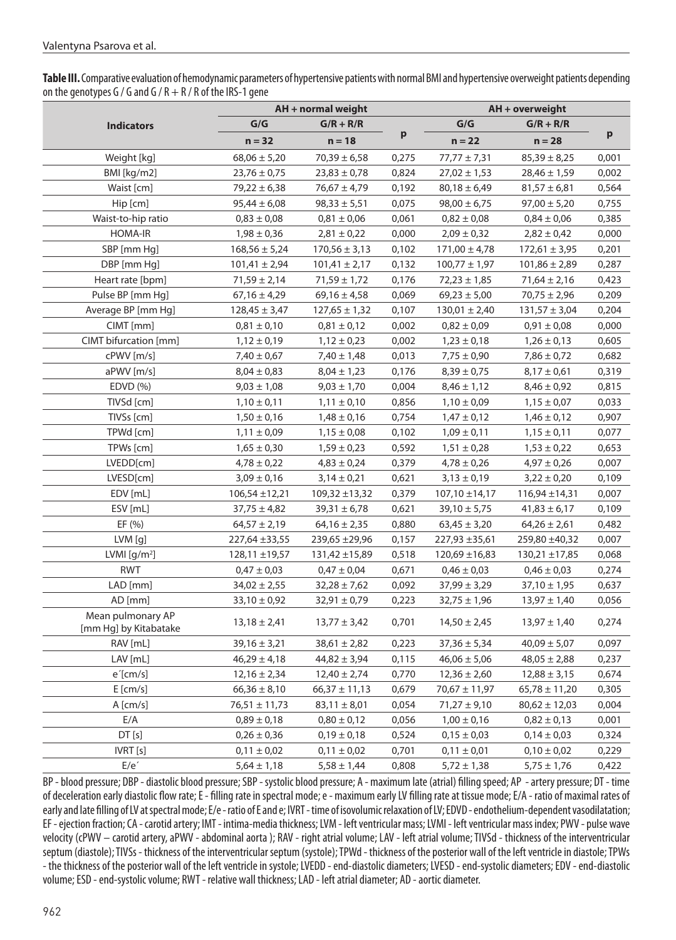**Table III.** Comparative evaluation of hemodynamic parameters of hypertensive patients with normal BMI and hypertensive overweight patients depending on the genotypes G / G and G / R + R / R of the IRS-1 gene

|                                            | AH + normal weight |                    |       | AH + overweight    |                    |              |
|--------------------------------------------|--------------------|--------------------|-------|--------------------|--------------------|--------------|
| <b>Indicators</b>                          | G/G                | $G/R + R/R$        |       | G/G                | $G/R + R/R$        |              |
|                                            | $n = 32$           | $n = 18$           | p     | $n = 22$           | $n = 28$           | $\mathbf{p}$ |
| Weight [kg]                                | $68,06 \pm 5,20$   | $70,39 \pm 6,58$   | 0,275 | $77,77 \pm 7,31$   | $85,39 \pm 8,25$   | 0,001        |
| BMI [kg/m2]                                | $23,76 \pm 0,75$   | $23,83 \pm 0,78$   | 0,824 | $27,02 \pm 1,53$   | $28,46 \pm 1,59$   | 0,002        |
| Waist [cm]                                 | $79,22 \pm 6,38$   | $76,67 \pm 4,79$   | 0,192 | $80,18 \pm 6,49$   | $81,57 \pm 6,81$   | 0,564        |
| Hip [cm]                                   | $95,44 \pm 6,08$   | $98,33 \pm 5,51$   | 0,075 | $98,00 \pm 6,75$   | $97,00 \pm 5,20$   | 0,755        |
| Waist-to-hip ratio                         | $0,83 \pm 0,08$    | $0,81 \pm 0,06$    | 0,061 | $0,82 \pm 0,08$    | $0,84 \pm 0,06$    | 0,385        |
| <b>HOMA-IR</b>                             | $1,98 \pm 0,36$    | $2,81 \pm 0,22$    | 0,000 | $2,09 \pm 0,32$    | $2,82 \pm 0,42$    | 0,000        |
| SBP [mm Hg]                                | $168,56 \pm 5,24$  | $170,56 \pm 3,13$  | 0,102 | $171,00 \pm 4,78$  | $172,61 \pm 3,95$  | 0,201        |
| DBP [mm Hg]                                | $101,41 \pm 2,94$  | $101,41 \pm 2,17$  | 0,132 | $100,77 \pm 1,97$  | $101,86 \pm 2,89$  | 0,287        |
| Heart rate [bpm]                           | $71,59 \pm 2,14$   | $71,59 \pm 1,72$   | 0,176 | $72,23 \pm 1,85$   | $71,64 \pm 2,16$   | 0,423        |
| Pulse BP [mm Hg]                           | $67,16 \pm 4,29$   | $69,16 \pm 4,58$   | 0,069 | $69,23 \pm 5,00$   | $70,75 \pm 2,96$   | 0,209        |
| Average BP [mm Hg]                         | $128,45 \pm 3,47$  | $127,65 \pm 1,32$  | 0,107 | $130,01 \pm 2,40$  | $131,57 \pm 3,04$  | 0,204        |
| CIMT [mm]                                  | $0,81 \pm 0,10$    | $0,81 \pm 0,12$    | 0,002 | $0,82 \pm 0,09$    | $0,91 \pm 0,08$    | 0,000        |
| CIMT bifurcation [mm]                      | $1,12 \pm 0,19$    | $1,12 \pm 0,23$    | 0,002 | $1,23 \pm 0,18$    | $1,26 \pm 0,13$    | 0,605        |
| cPWV [m/s]                                 | $7,40 \pm 0,67$    | $7,40 \pm 1,48$    | 0,013 | $7,75 \pm 0,90$    | $7,86 \pm 0,72$    | 0,682        |
| aPWV [m/s]                                 | $8,04 \pm 0,83$    | $8,04 \pm 1,23$    | 0,176 | $8,39 \pm 0,75$    | $8,17 \pm 0,61$    | 0,319        |
| EDVD (%)                                   | $9,03 \pm 1,08$    | $9,03 \pm 1,70$    | 0,004 | $8,46 \pm 1,12$    | $8,46 \pm 0,92$    | 0,815        |
| TIVSd [cm]                                 | $1,10 \pm 0,11$    | $1,11 \pm 0,10$    | 0,856 | $1,10 \pm 0,09$    | $1,15 \pm 0,07$    | 0,033        |
| TIVSs [cm]                                 | $1,50 \pm 0,16$    | $1,48 \pm 0,16$    | 0,754 | $1,47 \pm 0,12$    | $1,46 \pm 0,12$    | 0,907        |
| TPWd [cm]                                  | $1,11 \pm 0,09$    | $1,15 \pm 0,08$    | 0,102 | $1,09 \pm 0,11$    | $1,15 \pm 0,11$    | 0,077        |
| TPWs [cm]                                  | $1,65 \pm 0,30$    | $1,59 \pm 0,23$    | 0,592 | $1,\!51\pm0,\!28$  | $1,53 \pm 0,22$    | 0,653        |
| LVEDD[cm]                                  | $4,78 \pm 0,22$    | $4,83 \pm 0,24$    | 0,379 | $4,78 \pm 0,26$    | $4,97 \pm 0,26$    | 0,007        |
| LVESD[cm]                                  | $3,09 \pm 0,16$    | $3,14 \pm 0,21$    | 0,621 | $3,13 \pm 0,19$    | $3,22 \pm 0,20$    | 0,109        |
| EDV [mL]                                   | $106,54 \pm 12,21$ | $109,32 \pm 13,32$ | 0,379 | $107,10 \pm 14,17$ | $116,94 \pm 14,31$ | 0,007        |
| ESV [mL]                                   | $37,75 \pm 4,82$   | $39,31 \pm 6,78$   | 0,621 | $39,10 \pm 5,75$   | $41,83 \pm 6,17$   | 0,109        |
| EF $(% )$                                  | $64,57 \pm 2,19$   | $64,16 \pm 2,35$   | 0,880 | $63,45 \pm 3,20$   | $64,26 \pm 2,61$   | 0,482        |
| LVM [g]                                    | 227,64 ±33,55      | 239,65 ±29,96      | 0,157 | 227,93 ± 35,61     | 259,80 ±40,32      | 0,007        |
| LVMI $[g/m^2]$                             | $128,11 \pm 19,57$ | 131,42 ±15,89      | 0,518 | $120,69 \pm 16,83$ | 130,21 ±17,85      | 0,068        |
| <b>RWT</b>                                 | $0,47 \pm 0,03$    | $0,47 \pm 0,04$    | 0,671 | $0,46 \pm 0,03$    | $0,46 \pm 0,03$    | 0,274        |
| LAD [mm]                                   | $34,02 \pm 2,55$   | $32,28 \pm 7,62$   | 0,092 | $37,99 \pm 3,29$   | $37,10 \pm 1,95$   | 0,637        |
| AD [mm]                                    | $33,10 \pm 0,92$   | $32,91 \pm 0,79$   | 0,223 | $32,75 \pm 1,96$   | $13,97 \pm 1,40$   | 0,056        |
| Mean pulmonary AP<br>[mm Hg] by Kitabatake | $13,18 \pm 2,41$   | $13,77 \pm 3,42$   | 0,701 | $14,50 \pm 2,45$   | $13,97 \pm 1,40$   | 0,274        |
| RAV [mL]                                   | $39,16 \pm 3,21$   | $38,61 \pm 2,82$   | 0,223 | $37,36 \pm 5,34$   | $40,09 \pm 5,07$   | 0,097        |
| LAV [mL]                                   | $46,29 \pm 4,18$   | $44,82 \pm 3,94$   | 0,115 | $46,06 \pm 5,06$   | $48,05 \pm 2,88$   | 0,237        |
| $e^{\prime}$ [cm/s]                        | $12,16 \pm 2,34$   | $12,40 \pm 2,74$   | 0,770 | $12,36 \pm 2,60$   | $12,88 \pm 3,15$   | 0,674        |
| E[cm/s]                                    | $66,36 \pm 8,10$   | $66,37 \pm 11,13$  | 0,679 | $70,67 \pm 11,97$  | $65,78 \pm 11,20$  | 0,305        |
| A [cm/s]                                   | $76,51 \pm 11,73$  | $83,11 \pm 8,01$   | 0,054 | $71,27 \pm 9,10$   | $80,62 \pm 12,03$  | 0,004        |
| E/A                                        | $0,89 \pm 0,18$    | $0,80 \pm 0,12$    | 0,056 | $1,00 \pm 0,16$    | $0,82 \pm 0,13$    | 0,001        |
| DT[s]                                      | $0,26 \pm 0,36$    | $0,19 \pm 0,18$    | 0,524 | $0,15 \pm 0,03$    | $0,14 \pm 0,03$    | 0,324        |
| IVRT [s]                                   | $0,11 \pm 0,02$    | $0,11 \pm 0,02$    | 0,701 | $0,11 \pm 0,01$    | $0,10 \pm 0,02$    | 0,229        |
| E/e'                                       | $5,64 \pm 1,18$    | $5,58 \pm 1,44$    | 0,808 | $5,72 \pm 1,38$    | $5,75 \pm 1,76$    | 0,422        |

BP - blood pressure; DBP - diastolic blood pressure; SBP - systolic blood pressure; A - maximum late (atrial) filling speed; AP - artery pressure; DT - time of deceleration early diastolic flow rate; E - filling rate in spectral mode; e - maximum early LV filling rate at tissue mode; E/A - ratio of maximal rates of early and late filling of LV at spectral mode; E/e - ratio of E and e; IVRT - time of isovolumic relaxation of LV; EDVD - endothelium-dependent vasodilatation; EF - ejection fraction; CA - carotid artery; IMT - intima-media thickness; LVM - left ventricular mass; LVMI - left ventricular mass index; PWV - pulse wave velocity (cPWV – carotid artery, aPWV - abdominal aorta ); RAV - right atrial volume; LAV - left atrial volume; TIVSd - thickness of the interventricular septum (diastole); TIVSs - thickness of the interventricular septum (systole); TPWd - thickness of the posterior wall of the left ventricle in diastole; TPWs - the thickness of the posterior wall of the left ventricle in systole; LVEDD - end-diastolic diameters; LVESD - end-systolic diameters; EDV - end-diastolic volume; ESD - end-systolic volume; RWT - relative wall thickness; LAD - left atrial diameter; AD - aortic diameter.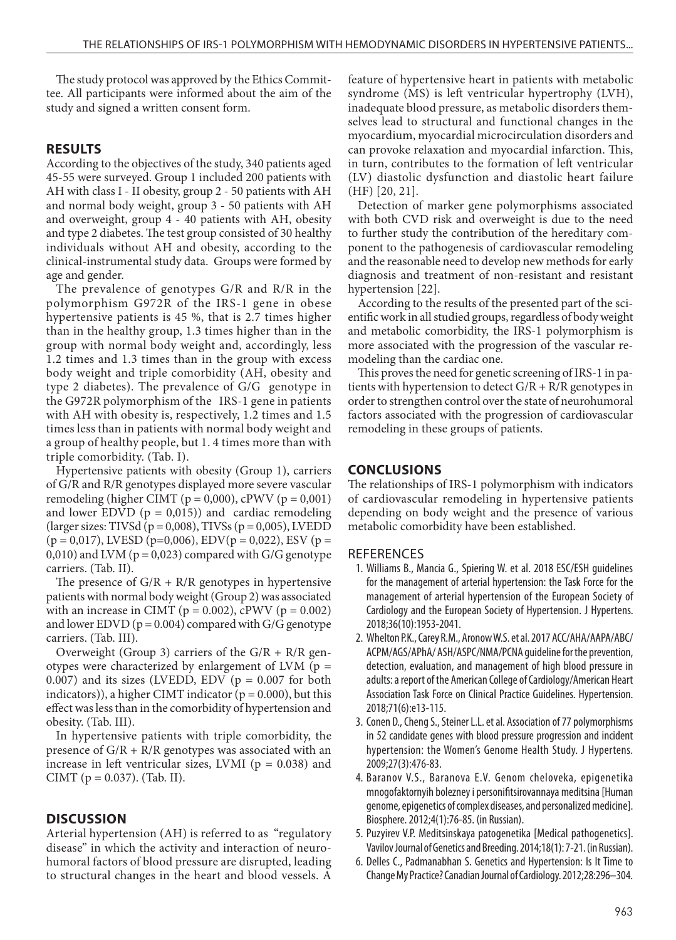The study protocol was approved by the Ethics Committee. All participants were informed about the aim of the study and signed a written consent form.

## **RESULTS**

According to the objectives of the study, 340 patients aged 45-55 were surveyed. Group 1 included 200 patients with AH with class I - II obesity, group 2 - 50 patients with AH and normal body weight, group 3 - 50 patients with AH and overweight, group 4 - 40 patients with AH, obesity and type 2 diabetes. The test group consisted of 30 healthy individuals without AH and obesity, according to the clinical-instrumental study data. Groups were formed by age and gender.

The prevalence of genotypes G/R and R/R in the polymorphism G972R of the IRS-1 gene in obese hypertensive patients is 45 %, that is 2.7 times higher than in the healthy group, 1.3 times higher than in the group with normal body weight and, accordingly, less 1.2 times and 1.3 times than in the group with excess body weight and triple comorbidity (AH, obesity and type 2 diabetes). The prevalence of G/G genotype in the G972R polymorphism of the IRS-1 gene in patients with AH with obesity is, respectively, 1.2 times and 1.5 times less than in patients with normal body weight and a group of healthy people, but 1. 4 times more than with triple comorbidity. (Tab. I).

Hypertensive patients with obesity (Group 1), carriers of G/R and R/R genotypes displayed more severe vascular remodeling (higher CIMT ( $p = 0,000$ ), cPWV ( $p = 0,001$ ) and lower EDVD  $(p = 0.015)$  and cardiac remodeling (larger sizes: TIVSd ( $p = 0,008$ ), TIVSs ( $p = 0,005$ ), LVEDD  $(p = 0.017)$ , LVESD (p=0.006), EDV(p = 0.022), ESV (p = 0,010) and LVM ( $p = 0.023$ ) compared with G/G genotype carriers. (Tab. II).

The presence of  $G/R + R/R$  genotypes in hypertensive patients with normal body weight (Group 2) was associated with an increase in CIMT ( $p = 0.002$ ), cPWV ( $p = 0.002$ ) and lower EDVD ( $p = 0.004$ ) compared with G/G genotype carriers. (Tab. III).

Overweight (Group 3) carriers of the G/R + R/R genotypes were characterized by enlargement of LVM ( $p =$ 0.007) and its sizes (LVEDD, EDV ( $p = 0.007$  for both indicators)), a higher CIMT indicator ( $p = 0.000$ ), but this effect was less than in the comorbidity of hypertension and obesity. (Tab. III).

In hypertensive patients with triple comorbidity, the presence of  $G/R + R/R$  genotypes was associated with an increase in left ventricular sizes, LVMI ( $p = 0.038$ ) and CIMT ( $p = 0.037$ ). (Tab. II).

## **DISCUSSION**

Arterial hypertension (AH) is referred to as "regulatory disease" in which the activity and interaction of neurohumoral factors of blood pressure are disrupted, leading to structural changes in the heart and blood vessels. A feature of hypertensive heart in patients with metabolic syndrome (MS) is left ventricular hypertrophy (LVH), inadequate blood pressure, as metabolic disorders themselves lead to structural and functional changes in the myocardium, myocardial microcirculation disorders and can provoke relaxation and myocardial infarction. This, in turn, contributes to the formation of left ventricular (LV) diastolic dysfunction and diastolic heart failure (HF) [20, 21].

Detection of marker gene polymorphisms associated with both CVD risk and overweight is due to the need to further study the contribution of the hereditary component to the pathogenesis of cardiovascular remodeling and the reasonable need to develop new methods for early diagnosis and treatment of non-resistant and resistant hypertension [22].

According to the results of the presented part of the scientific work in all studied groups, regardless of body weight and metabolic comorbidity, the IRS-1 polymorphism is more associated with the progression of the vascular remodeling than the cardiac one.

This proves the need for genetic screening of IRS-1 in patients with hypertension to detect  $G/R + R/R$  genotypes in order to strengthen control over the state of neurohumoral factors associated with the progression of cardiovascular remodeling in these groups of patients.

#### **CONCLUSIONS**

The relationships of IRS-1 polymorphism with indicators of cardiovascular remodeling in hypertensive patients depending on body weight and the presence of various metabolic comorbidity have been established.

#### **REFERENCES**

- 1. Williams B., Mancia G., Spiering W. et al. 2018 ESC/ESH guidelines for the management of arterial hypertension: the Task Force for the management of arterial hypertension of the European Society of Cardiology and the European Society of Hypertension. J Hypertens. 2018;36(10):1953-2041.
- 2. Whelton P.K., Carey R.M., Aronow W.S. et al. 2017 ACC/AHA/AAPA/ABC/ ACPM/AGS/APhA/ ASH/ASPC/NMA/PCNA guideline for the prevention, detection, evaluation, and management of high blood pressure in adults: a report of the American College of Cardiology/American Heart Association Task Force on Clinical Practice Guidelines. Hypertension. 2018;71(6):e13-115.
- 3. Conen D., Cheng S., Steiner L.L. et al. Association of 77 polymorphisms in 52 candidate genes with blood pressure progression and incident hypertension: the Women's Genome Health Study. J Hypertens. 2009;27(3):476-83.
- 4. Baranov V.S., Baranova E.V. Genom cheloveka, epigenetika mnogofaktornyih bolezney i personifitsirovannaya meditsina [Human genome, epigenetics of complex diseases, and personalized medicine]. Biosphere. 2012;4(1):76-85. (in Russian).
- 5. Puzyirev V.P. Meditsinskaya patogenetika [Medical pathogenetics]. Vavilov Journal of Genetics and Breeding. 2014;18(1): 7-21. (in Russian).
- 6. Delles C., Padmanabhan S. Genetics and Hypertension: Is It Time to Change My Practice? Canadian Journal of Cardiology. 2012;28:296–304.